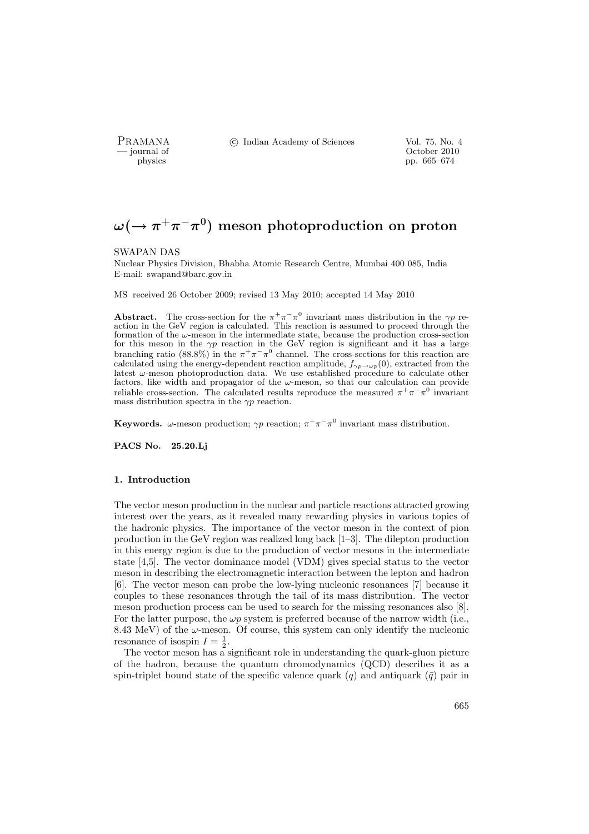PRAMANA <sup>©</sup>© Indian Academy of Sciences Vol. 75, No. 4

position of the contract of the contract of the contract of the contract of the contract of the contract of the contract of the contract of the contract of the contract of the contract of the contract of the contract of th pp. 665–674

# $\omega (\rightarrow \pi^+ \pi^- \pi^0)$  meson photoproduction on proton

#### SWAPAN DAS

Nuclear Physics Division, Bhabha Atomic Research Centre, Mumbai 400 085, India E-mail: swapand@barc.gov.in

MS received 26 October 2009; revised 13 May 2010; accepted 14 May 2010

**Abstract.** The cross-section for the  $\pi^{+}\pi^{-}\pi^{0}$  invariant mass distribution in the  $\gamma p$  reaction in the GeV region is calculated. This reaction is assumed to proceed through the formation of the  $\omega$ -meson in the intermediate state, because the production cross-section for this meson in the  $\gamma p$  reaction in the GeV region is significant and it has a large branching ratio (88.8%) in the  $\pi^{+}\pi^{-}\pi^{0}$  channel. The cross-sections for this reaction are calculated using the energy-dependent reaction amplitude,  $f_{\gamma p \to \omega p}(0)$ , extracted from the latest  $\omega$ -meson photoproduction data. We use established procedure to calculate other factors, like width and propagator of the  $\omega$ -meson, so that our calculation can provide reliable cross-section. The calculated results reproduce the measured  $\pi^+\pi^-\pi^0$  invariant mass distribution spectra in the  $\gamma p$  reaction.

Keywords.  $\omega$ -meson production;  $\gamma p$  reaction;  $\pi^+\pi^-\pi^0$  invariant mass distribution.

PACS No. 25.20.Lj

#### 1. Introduction

The vector meson production in the nuclear and particle reactions attracted growing interest over the years, as it revealed many rewarding physics in various topics of the hadronic physics. The importance of the vector meson in the context of pion production in the GeV region was realized long back [1–3]. The dilepton production in this energy region is due to the production of vector mesons in the intermediate state [4,5]. The vector dominance model (VDM) gives special status to the vector meson in describing the electromagnetic interaction between the lepton and hadron [6]. The vector meson can probe the low-lying nucleonic resonances [7] because it couples to these resonances through the tail of its mass distribution. The vector meson production process can be used to search for the missing resonances also [8]. For the latter purpose, the  $\omega p$  system is preferred because of the narrow width (i.e., 8.43 MeV) of the  $\omega$ -meson. Of course, this system can only identify the nucleonic resonance of isospin  $I = \frac{1}{2}$ .

The vector meson has a significant role in understanding the quark-gluon picture of the hadron, because the quantum chromodynamics (QCD) describes it as a spin-triplet bound state of the specific valence quark  $(q)$  and antiquark  $(\bar{q})$  pair in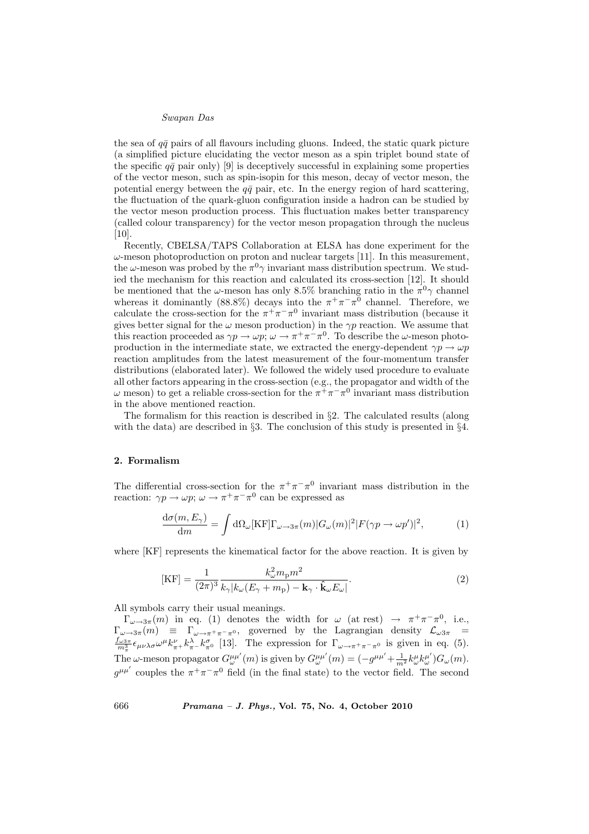the sea of  $q\bar{q}$  pairs of all flavours including gluons. Indeed, the static quark picture (a simplified picture elucidating the vector meson as a spin triplet bound state of the specific  $q\bar{q}$  pair only) [9] is deceptively successful in explaining some properties of the vector meson, such as spin-isopin for this meson, decay of vector meson, the potential energy between the  $q\bar{q}$  pair, etc. In the energy region of hard scattering, the fluctuation of the quark-gluon configuration inside a hadron can be studied by the vector meson production process. This fluctuation makes better transparency (called colour transparency) for the vector meson propagation through the nucleus [10].

Recently, CBELSA/TAPS Collaboration at ELSA has done experiment for the  $\omega$ -meson photoproduction on proton and nuclear targets [11]. In this measurement, the  $\omega$ -meson was probed by the  $\pi^0 \gamma$  invariant mass distribution spectrum. We studied the mechanism for this reaction and calculated its cross-section [12]. It should be mentioned that the  $\omega$ -meson has only 8.5% branching ratio in the  $\pi^0 \gamma$  channel whereas it dominantly (88.8%) decays into the  $\pi^+\pi^-\pi^0$  channel. Therefore, we calculate the cross-section for the  $\pi^+\pi^-\pi^0$  invariant mass distribution (because it gives better signal for the  $\omega$  meson production) in the  $\gamma p$  reaction. We assume that this reaction proceeded as  $\gamma p \to \omega p$ ;  $\omega \to \pi^+ \pi^- \pi^0$ . To describe the  $\omega$ -meson photoproduction in the intermediate state, we extracted the energy-dependent  $\gamma p \to \omega p$ reaction amplitudes from the latest measurement of the four-momentum transfer distributions (elaborated later). We followed the widely used procedure to evaluate all other factors appearing in the cross-section (e.g., the propagator and width of the ω meson) to get a reliable cross-section for the  $\pi^+\pi^-\pi^0$  invariant mass distribution in the above mentioned reaction.

The formalism for this reaction is described in §2. The calculated results (along with the data) are described in  $\S3$ . The conclusion of this study is presented in  $\S4$ .

## 2. Formalism

The differential cross-section for the  $\pi^+\pi^-\pi^0$  invariant mass distribution in the reaction:  $\gamma p \to \omega p$ ;  $\omega \to \pi^+ \pi^- \pi^0$  can be expressed as

$$
\frac{d\sigma(m, E_{\gamma})}{dm} = \int d\Omega_{\omega}[\text{KF}]\Gamma_{\omega \to 3\pi}(m)|G_{\omega}(m)|^2|F(\gamma p \to \omega p')|^2, \tag{1}
$$

where [KF] represents the kinematical factor for the above reaction. It is given by

$$
[\text{KF}] = \frac{1}{(2\pi)^3} \frac{k_\omega^2 m_\text{p} m^2}{k_\gamma |k_\omega (E_\gamma + m_\text{p}) - \mathbf{k}_\gamma \cdot \hat{\mathbf{k}}_\omega E_\omega|}.
$$
 (2)

All symbols carry their usual meanings.

 $\Gamma_{\omega\to 3\pi}(m)$  in eq. (1) denotes the width for  $\omega$  (at rest)  $\to \pi^+\pi^-\pi^0$ , i.e.,  $\Gamma_{\omega\to 3\pi}(m) \equiv \Gamma_{\omega\to \pi^+\pi^-\pi^0}$ , governed by the Lagrangian density  $\mathcal{L}_{\omega 3\pi}$  =  $\frac{f_{\omega 3\pi}}{m_x^3} \epsilon_{\mu\nu\lambda\sigma} \omega^{\mu} k_{\pi}^{\nu} k_{\pi}^{\lambda} k_{\pi^0}^{\sigma}$  [13]. The expression for  $\Gamma_{\omega \to \pi^+ \pi^- \pi^0}$  is given in eq. (5). The  $\omega$ -meson propagator  $G_{\omega}^{\mu\mu'}(m)$  is given by  $G_{\omega}^{\mu\mu'}(m) = \left(-g^{\mu\mu'} + \frac{1}{m^2}k_{\omega}^{\mu}k_{\omega}^{\mu'}\right)G_{\omega}(m)$ .  $g^{\mu\mu'}$  couples the  $\pi^+\pi^-\pi^0$  field (in the final state) to the vector field. The second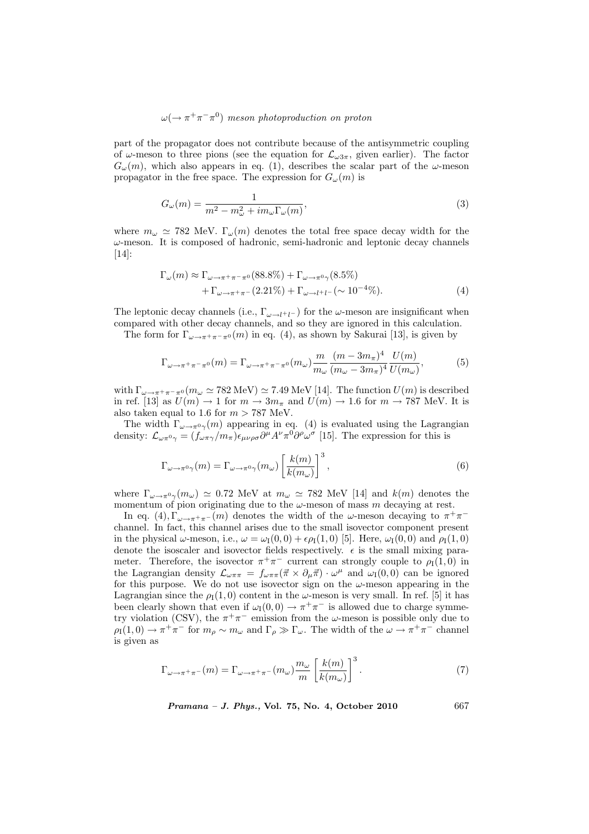# $\omega(\rightarrow \pi^+\pi^-\pi^0)$  meson photoproduction on proton

part of the propagator does not contribute because of the antisymmetric coupling of  $\omega$ -meson to three pions (see the equation for  $\mathcal{L}_{\omega 3\pi}$ , given earlier). The factor  $G_{\omega}(m)$ , which also appears in eq. (1), describes the scalar part of the  $\omega$ -meson propagator in the free space. The expression for  $G_{\omega}(m)$  is

$$
G_{\omega}(m) = \frac{1}{m^2 - m_{\omega}^2 + i m_{\omega} \Gamma_{\omega}(m)},
$$
\n(3)

where  $m_{\omega} \simeq 782$  MeV.  $\Gamma_{\omega}(m)$  denotes the total free space decay width for the  $\omega$ -meson. It is composed of hadronic, semi-hadronic and leptonic decay channels [14]:

$$
\Gamma_{\omega}(m) \approx \Gamma_{\omega \to \pi^+ \pi^- \pi^0} (88.8\%) + \Gamma_{\omega \to \pi^0 \gamma} (8.5\%) \n+ \Gamma_{\omega \to \pi^+ \pi^-} (2.21\%) + \Gamma_{\omega \to l^+ l^-} (\sim 10^{-4}\%).
$$
\n(4)

The leptonic decay channels (i.e.,  $\Gamma_{\omega \to l^+l^-}$ ) for the  $\omega$ -meson are insignificant when compared with other decay channels, and so they are ignored in this calculation.

The form for  $\Gamma_{\omega \to \pi^+ \pi^- \pi^0}(m)$  in eq. (4), as shown by Sakurai [13], is given by

$$
\Gamma_{\omega \to \pi^+ \pi^- \pi^0}(m) = \Gamma_{\omega \to \pi^+ \pi^- \pi^0}(m_\omega) \frac{m}{m_\omega} \frac{(m-3m_\pi)^4}{(m_\omega - 3m_\pi)^4} \frac{U(m)}{U(m_\omega)},\tag{5}
$$

with  $\Gamma_{\omega \to \pi^+ \pi^- \pi^0} (m_\omega \simeq 782 \text{ MeV}) \simeq 7.49 \text{ MeV}$  [14]. The function  $U(m)$  is described in ref. [13] as  $U(m) \to 1$  for  $m \to 3m_{\pi}$  and  $U(m) \to 1.6$  for  $m \to 787$  MeV. It is also taken equal to 1.6 for  $m > 787$  MeV.

The width  $\Gamma_{\omega \to \pi^0 \gamma}(m)$  appearing in eq. (4) is evaluated using the Lagrangian density:  $\mathcal{L}_{\omega\pi^0\gamma} = (f_{\omega\pi\gamma}/m_{\pi})\epsilon_{\mu\nu\rho\sigma}\partial^{\mu}A^{\nu}\pi^0\partial^{\rho}\omega^{\sigma}$  [15]. The expression for this is

$$
\Gamma_{\omega \to \pi^0 \gamma}(m) = \Gamma_{\omega \to \pi^0 \gamma}(m_{\omega}) \left[ \frac{k(m)}{k(m_{\omega})} \right]^3, \tag{6}
$$

where  $\Gamma_{\omega \to \pi^0 \gamma}(m_\omega) \simeq 0.72$  MeV at  $m_\omega \simeq 782$  MeV [14] and  $k(m)$  denotes the momentum of pion originating due to the  $\omega$ -meson of mass m decaying at rest.

In eq. (4),  $\Gamma_{\omega \to \pi^+ \pi^-}(m)$  denotes the width of the  $\omega$ -meson decaying to  $\pi^+ \pi^$ channel. In fact, this channel arises due to the small isovector component present in the physical  $\omega$ -meson, i.e.,  $\omega = \omega_I(0,0) + \epsilon \rho_I(1,0)$  [5]. Here,  $\omega_I(0,0)$  and  $\rho_I(1,0)$ denote the isoscaler and isovector fields respectively.  $\epsilon$  is the small mixing parameter. Therefore, the isovector  $\pi^+\pi^-$  current can strongly couple to  $\rho_I(1,0)$  in the Lagrangian density  $\mathcal{L}_{\omega\pi\pi} = f_{\omega\pi\pi}(\vec{\pi} \times \partial_{\mu}\vec{\pi}) \cdot \omega^{\mu}$  and  $\omega_{I}(0,0)$  can be ignored for this purpose. We do not use isovector sign on the  $\omega$ -meson appearing in the Lagrangian since the  $\rho_I(1,0)$  content in the  $\omega$ -meson is very small. In ref. [5] it has been clearly shown that even if  $\omega_I(0,0) \to \pi^+\pi^-$  is allowed due to charge symmetry violation (CSV), the  $\pi^{+}\pi^{-}$  emission from the  $\omega$ -meson is possible only due to  $\rho_I(1,0) \to \pi^+\pi^-$  for  $m_\rho \sim m_\omega$  and  $\Gamma_\rho \gg \Gamma_\omega$ . The width of the  $\omega \to \pi^+\pi^-$  channel is given as

$$
\Gamma_{\omega \to \pi^+ \pi^-}(m) = \Gamma_{\omega \to \pi^+ \pi^-}(m_\omega) \frac{m_\omega}{m} \left[ \frac{k(m)}{k(m_\omega)} \right]^3.
$$
 (7)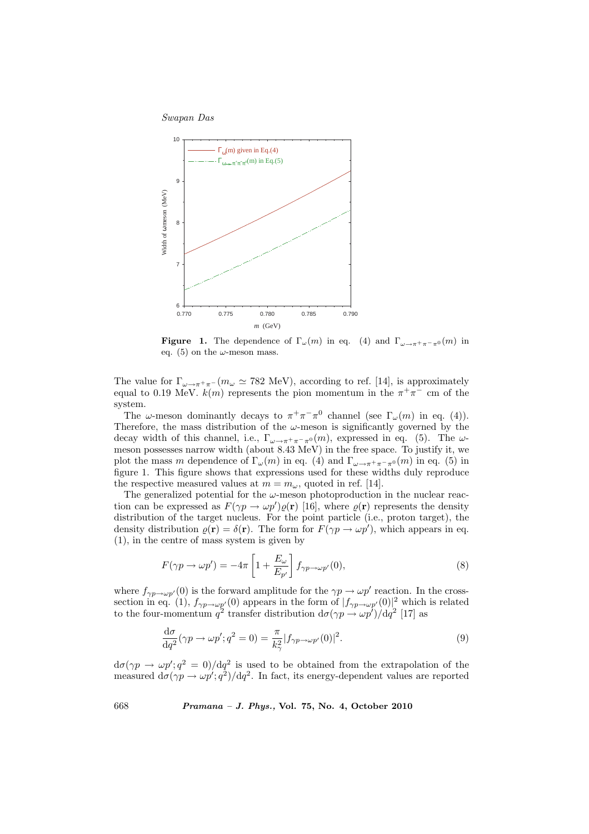

**Figure 1.** The dependence of  $\Gamma_{\omega}(m)$  in eq. (4) and  $\Gamma_{\omega \to \pi^+ \pi^- \pi^0}(m)$  in eq. (5) on the  $\omega$ -meson mass.

The value for  $\Gamma_{\omega \to \pi^+\pi^-}(m_\omega \simeq 782 \text{ MeV})$ , according to ref. [14], is approximately equal to 0.19 MeV.  $k(m)$  represents the pion momentum in the  $\pi^{+}\pi^{-}$  cm of the system.

The  $\omega$ -meson dominantly decays to  $\pi^+\pi^-\pi^0$  channel (see  $\Gamma_{\omega}(m)$  in eq. (4)). Therefore, the mass distribution of the  $\omega$ -meson is significantly governed by the decay width of this channel, i.e.,  $\Gamma_{\omega \to \pi^+ \pi^- \pi^0}(m)$ , expressed in eq. (5). The  $\omega$ meson possesses narrow width (about 8.43 MeV) in the free space. To justify it, we plot the mass m dependence of  $\Gamma_{\omega}(m)$  in eq. (4) and  $\Gamma_{\omega \to \pi^+ \pi^- \pi^0}(m)$  in eq. (5) in figure 1. This figure shows that expressions used for these widths duly reproduce the respective measured values at  $m = m_{\omega}$ , quoted in ref. [14].

The generalized potential for the  $\omega$ -meson photoproduction in the nuclear reaction can be expressed as  $F(\gamma p \to \omega p')\varrho(\mathbf{r})$  [16], where  $\varrho(\mathbf{r})$  represents the density distribution of the target nucleus. For the point particle (i.e., proton target), the density distribution  $\rho(\mathbf{r}) = \delta(\mathbf{r})$ . The form for  $F(\gamma p \to \omega p')$ , which appears in eq. (1), in the centre of mass system is given by

$$
F(\gamma p \to \omega p') = -4\pi \left[ 1 + \frac{E_{\omega}}{E_{p'}} \right] f_{\gamma p \to \omega p'}(0), \tag{8}
$$

where  $f_{\gamma p \to \omega p'}(0)$  is the forward amplitude for the  $\gamma p \to \omega p'$  reaction. In the crosssection in eq. (1),  $f_{\gamma p \to \omega p'}(0)$  appears in the form of  $|f_{\gamma p \to \omega p'}(0)|^2$  which is related to the four-momentum  $q^2$  transfer distribution  $d\sigma(\gamma p \to \omega p')/dq^2$  [17] as

$$
\frac{\mathrm{d}\sigma}{\mathrm{d}q^2}(\gamma p \to \omega p'; q^2 = 0) = \frac{\pi}{k_\gamma^2} |f_{\gamma p \to \omega p'}(0)|^2. \tag{9}
$$

 $d\sigma(\gamma p \to \omega p';q^2 = 0)/dq^2$  is used to be obtained from the extrapolation of the measured  $d\sigma(\gamma p \to \omega p';q^2)/dq^2$ . In fact, its energy-dependent values are reported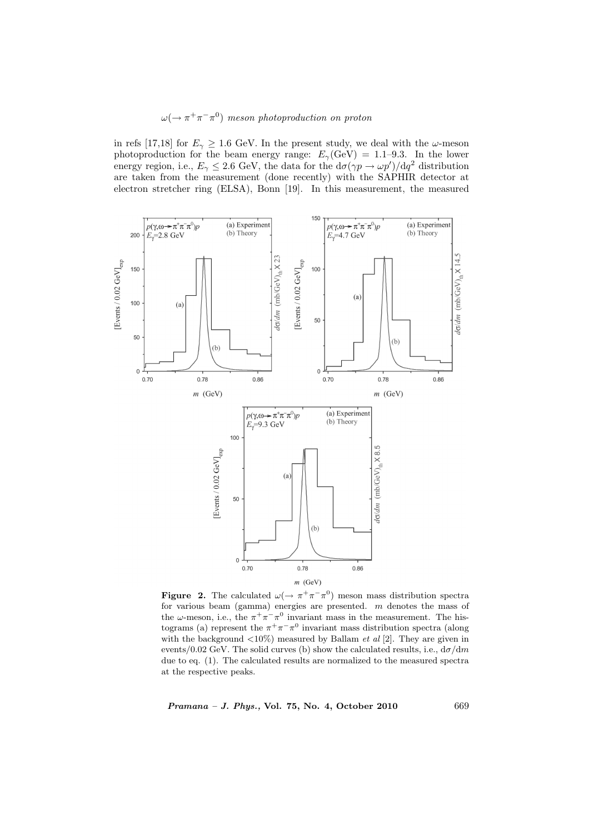## $\omega(\rightarrow \pi^+\pi^-\pi^0)$  meson photoproduction on proton

in refs [17,18] for  $E_{\gamma} \geq 1.6$  GeV. In the present study, we deal with the  $\omega$ -meson photoproduction for the beam energy range:  $E_{\gamma}(\text{GeV}) = 1.1{\text -}9.3$ . In the lower energy region, i.e.,  $E_{\gamma} \leq 2.6$  GeV, the data for the  $d\sigma(\gamma p \to \omega p')/dq^2$  distribution are taken from the measurement (done recently) with the SAPHIR detector at electron stretcher ring (ELSA), Bonn [19]. In this measurement, the measured



**Figure 2.** The calculated  $\omega(\rightarrow \pi^+\pi^-\pi^0)$  meson mass distribution spectra for various beam (gamma) energies are presented. m denotes the mass of the  $\omega$ -meson, i.e., the  $\pi^{+}\pi^{-}\pi^{0}$  invariant mass in the measurement. The histograms (a) represent the  $\pi^{+}\pi^{-}\pi^{0}$  invariant mass distribution spectra (along with the background  $\langle 10\% \rangle$  measured by Ballam *et al* [2]. They are given in events/0.02 GeV. The solid curves (b) show the calculated results, i.e.,  $d\sigma/dm$ due to eq. (1). The calculated results are normalized to the measured spectra at the respective peaks.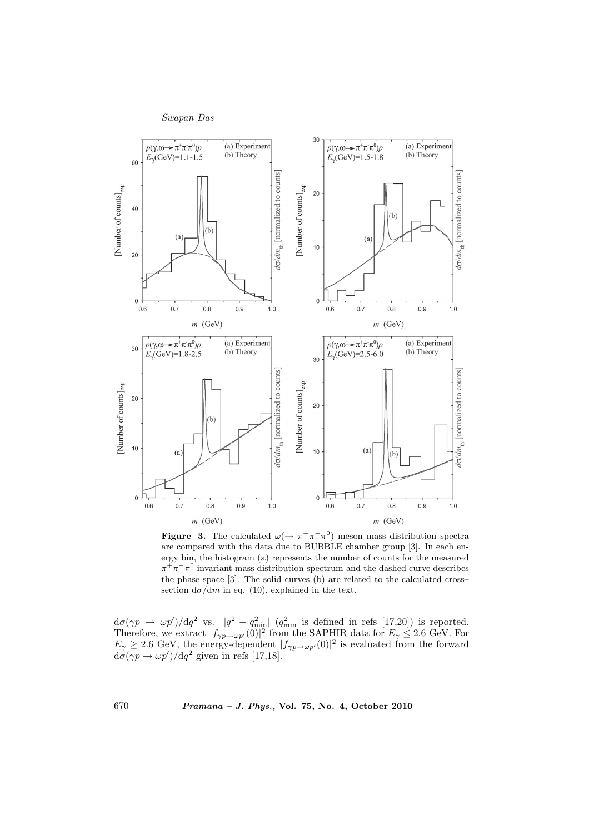

**Figure 3.** The calculated  $\omega(\rightarrow \pi^+\pi^-\pi^0)$  meson mass distribution spectra are compared with the data due to BUBBLE chamber group [3]. In each energy bin, the histogram (a) represents the number of counts for the measured  $\pi^{+}\pi^{-}\pi^{0}$  invariant mass distribution spectrum and the dashed curve describes the phase space [3]. The solid curves (b) are related to the calculated cross– section  $d\sigma/dm$  in eq. (10), explained in the text.

 $d\sigma(\gamma p \to \omega p')/dq^2$  vs.  $|q^2 - q_{\text{min}}^2|$   $(q_{\text{min}}^2$  is defined in refs [17,20]) is reported. Therefore, we extract  $|f_{\gamma p \to \omega p'}(0)|^2$  from the SAPHIR data for  $E_{\gamma} \leq 2.6$  GeV. For  $E_{\gamma} \geq 2.6$  GeV, the energy-dependent  $|f_{\gamma p \to \omega p'}(0)|^2$  is evaluated from the forward  $d\sigma(\gamma p \to \omega p') / dq^2$  given in refs [17,18].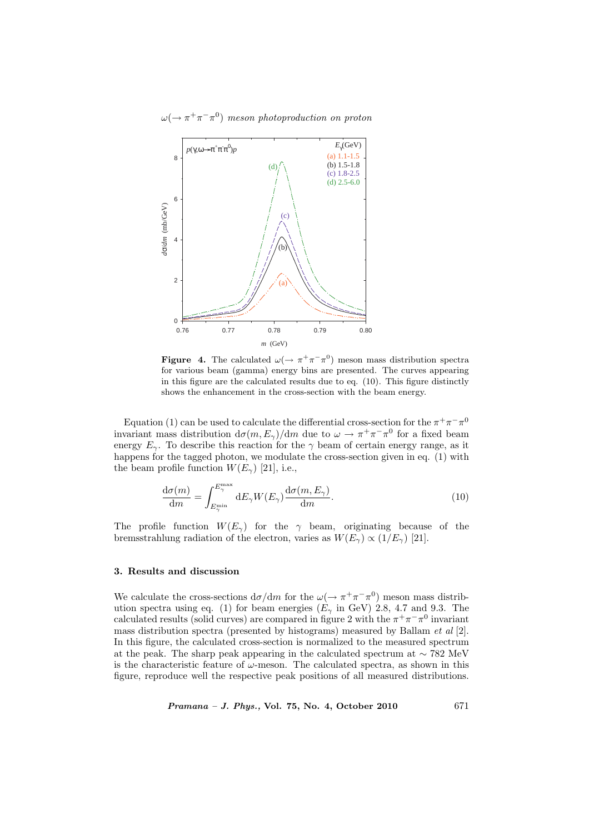

**Figure 4.** The calculated  $\omega(\rightarrow \pi^+\pi^-\pi^0)$  meson mass distribution spectra for various beam (gamma) energy bins are presented. The curves appearing in this figure are the calculated results due to eq. (10). This figure distinctly shows the enhancement in the cross-section with the beam energy.

Equation (1) can be used to calculate the differential cross-section for the  $\pi^+\pi^-\pi^0$ invariant mass distribution  $d\sigma(m, E_{\gamma})/dm$  due to  $\omega \to \pi^+ \pi^- \pi^0$  for a fixed beam energy  $E_{\gamma}$ . To describe this reaction for the  $\gamma$  beam of certain energy range, as it happens for the tagged photon, we modulate the cross-section given in eq. (1) with the beam profile function  $W(E_{\gamma})$  [21], i.e.,

$$
\frac{d\sigma(m)}{dm} = \int_{E_{\gamma}^{\min}}^{E_{\gamma}^{\max}} dE_{\gamma} W(E_{\gamma}) \frac{d\sigma(m, E_{\gamma})}{dm}.
$$
\n(10)

The profile function  $W(E_{\gamma})$  for the  $\gamma$  beam, originating because of the bremsstrahlung radiation of the electron, varies as  $W(E_{\gamma}) \propto (1/E_{\gamma})$  [21].

## 3. Results and discussion

We calculate the cross-sections  $d\sigma/dm$  for the  $\omega(\rightarrow \pi^+\pi^-\pi^0)$  meson mass distribution spectra using eq. (1) for beam energies ( $E<sub>\gamma</sub>$  in GeV) 2.8, 4.7 and 9.3. The calculated results (solid curves) are compared in figure 2 with the  $\pi^{+}\pi^{-}\pi^{0}$  invariant mass distribution spectra (presented by histograms) measured by Ballam  $et al [2]$ . In this figure, the calculated cross-section is normalized to the measured spectrum at the peak. The sharp peak appearing in the calculated spectrum at ∼ 782 MeV is the characteristic feature of  $\omega$ -meson. The calculated spectra, as shown in this figure, reproduce well the respective peak positions of all measured distributions.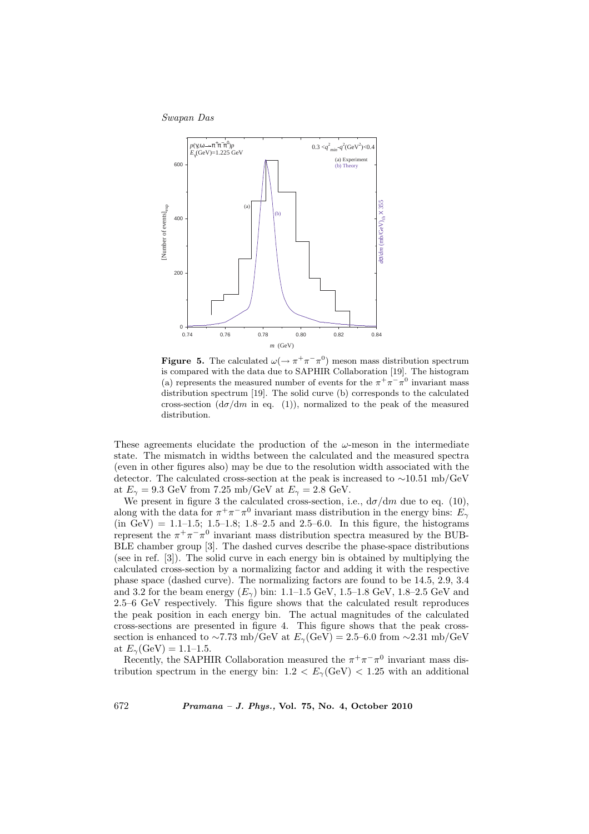

**Figure 5.** The calculated  $\omega(\rightarrow \pi^+\pi^-\pi^0)$  meson mass distribution spectrum is compared with the data due to SAPHIR Collaboration [19]. The histogram (a) represents the measured number of events for the  $\pi^+\pi^-\pi^0$  invariant mass distribution spectrum [19]. The solid curve (b) corresponds to the calculated cross-section  $(d\sigma/dm$  in eq. (1)), normalized to the peak of the measured distribution.

These agreements elucidate the production of the  $\omega$ -meson in the intermediate state. The mismatch in widths between the calculated and the measured spectra (even in other figures also) may be due to the resolution width associated with the detector. The calculated cross-section at the peak is increased to ∼10.51 mb/GeV at  $E_{\gamma} = 9.3$  GeV from 7.25 mb/GeV at  $E_{\gamma} = 2.8$  GeV.

We present in figure 3 the calculated cross-section, i.e.,  $d\sigma/dm$  due to eq. (10), along with the data for  $\pi^+\pi^-\pi^0$  invariant mass distribution in the energy bins:  $E_\gamma$  $(in GeV) = 1.1-1.5; 1.5-1.8; 1.8-2.5 and 2.5-6.0. In this figure, the histograms$ represent the  $\pi^+\pi^-\pi^0$  invariant mass distribution spectra measured by the BUB-BLE chamber group [3]. The dashed curves describe the phase-space distributions (see in ref. [3]). The solid curve in each energy bin is obtained by multiplying the calculated cross-section by a normalizing factor and adding it with the respective phase space (dashed curve). The normalizing factors are found to be 14.5, 2.9, 3.4 and 3.2 for the beam energy  $(E_{\gamma})$  bin: 1.1–1.5 GeV, 1.5–1.8 GeV, 1.8–2.5 GeV and 2.5–6 GeV respectively. This figure shows that the calculated result reproduces the peak position in each energy bin. The actual magnitudes of the calculated cross-sections are presented in figure 4. This figure shows that the peak crosssection is enhanced to ~7.73 mb/GeV at  $E_{\gamma}$ (GeV) = 2.5–6.0 from ~2.31 mb/GeV at  $E_{\gamma}(\text{GeV}) = 1.1 - 1.5$ .

Recently, the SAPHIR Collaboration measured the  $\pi^+\pi^-\pi^0$  invariant mass distribution spectrum in the energy bin:  $1.2 < E<sub>γ</sub>(GeV) < 1.25$  with an additional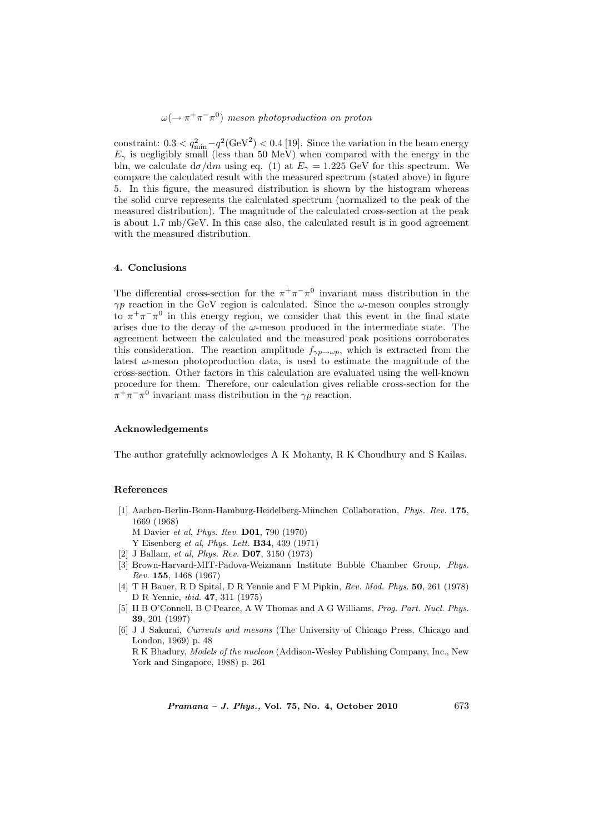$\omega(\rightarrow \pi^+\pi^-\pi^0)$  meson photoproduction on proton

constraint:  $0.3 < q_{\min}^2 - q^2(\text{GeV}^2) < 0.4$  [19]. Since the variation in the beam energy  $E_{\gamma}$  is negligibly small (less than 50 MeV) when compared with the energy in the bin, we calculate  $d\sigma/dm$  using eq. (1) at  $E_{\gamma} = 1.225$  GeV for this spectrum. We compare the calculated result with the measured spectrum (stated above) in figure 5. In this figure, the measured distribution is shown by the histogram whereas the solid curve represents the calculated spectrum (normalized to the peak of the measured distribution). The magnitude of the calculated cross-section at the peak is about 1.7 mb/GeV. In this case also, the calculated result is in good agreement with the measured distribution.

## 4. Conclusions

The differential cross-section for the  $\pi^+\pi^-\pi^0$  invariant mass distribution in the  $\gamma p$  reaction in the GeV region is calculated. Since the  $\omega$ -meson couples strongly to  $\pi^{+}\pi^{-}\pi^{0}$  in this energy region, we consider that this event in the final state arises due to the decay of the  $\omega$ -meson produced in the intermediate state. The agreement between the calculated and the measured peak positions corroborates this consideration. The reaction amplitude  $f_{\gamma p \to \omega p}$ , which is extracted from the latest  $\omega$ -meson photoproduction data, is used to estimate the magnitude of the cross-section. Other factors in this calculation are evaluated using the well-known procedure for them. Therefore, our calculation gives reliable cross-section for the  $\pi^+\pi^-\pi^0$  invariant mass distribution in the  $\gamma p$  reaction.

## Acknowledgements

The author gratefully acknowledges A K Mohanty, R K Choudhury and S Kailas.

## References

[1] Aachen-Berlin-Bonn-Hamburg-Heidelberg-München Collaboration, Phys. Rev. 175, 1669 (1968)

M Davier et al, Phys. Rev. D01, 790 (1970)

- Y Eisenberg et al, Phys. Lett. B34, 439 (1971)
- [2] J Ballam, et al, Phys. Rev. D07, 3150 (1973)
- [3] Brown-Harvard-MIT-Padova-Weizmann Institute Bubble Chamber Group, Phys. Rev. 155, 1468 (1967)
- [4] T H Bauer, R D Spital, D R Yennie and F M Pipkin, Rev. Mod. Phys. 50, 261 (1978) D R Yennie, ibid. 47, 311 (1975)
- [5] H B O'Connell, B C Pearce, A W Thomas and A G Williams, Prog. Part. Nucl. Phys. 39, 201 (1997)
- [6] J J Sakurai, Currents and mesons (The University of Chicago Press, Chicago and London, 1969) p. 48

R K Bhadury, Models of the nucleon (Addison-Wesley Publishing Company, Inc., New York and Singapore, 1988) p. 261